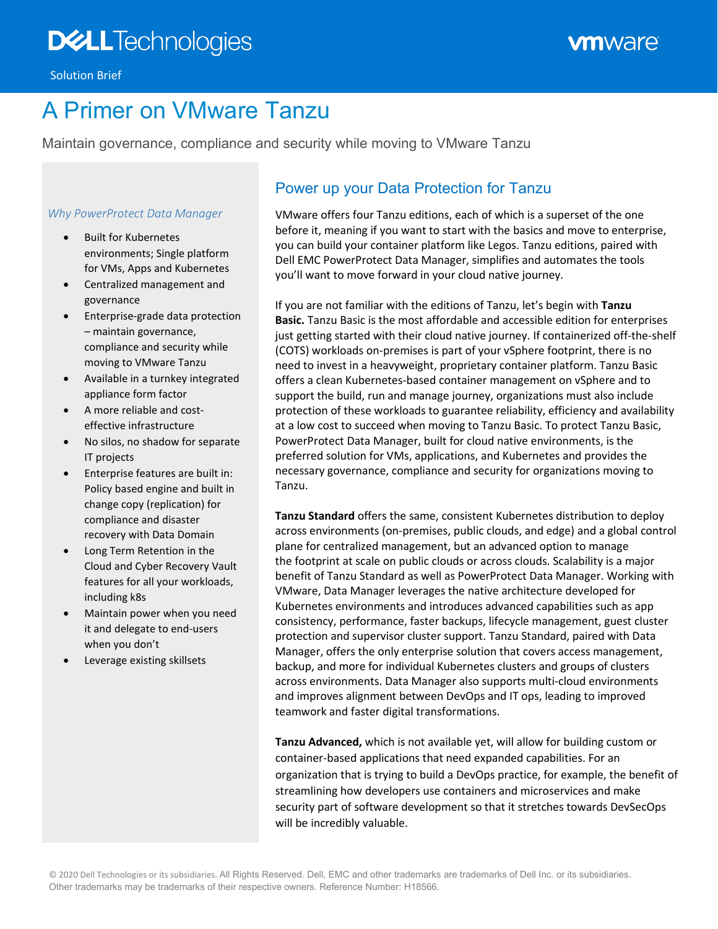# A Primer on VMware Tanzu

Maintain governance, compliance and security while moving to VMware Tanzu

### *Why PowerProtect Data Manager*

- Built for Kubernetes environments; Single platform for VMs, Apps and Kubernetes
- Centralized management and governance
- Enterprise-grade data protection – maintain governance, compliance and security while moving to VMware Tanzu
- Available in a turnkey integrated appliance form factor
- A more reliable and costeffective infrastructure
- No silos, no shadow for separate IT projects
- Enterprise features are built in: Policy based engine and built in change copy (replication) for compliance and disaster recovery with Data Domain
- Long Term Retention in the Cloud and Cyber Recovery Vault features for all your workloads, including k8s
- Maintain power when you need it and delegate to end-users when you don't
- Leverage existing skillsets

## Power up your Data Protection for Tanzu

VMware offers four Tanzu editions, each of which is a superset of the one before it, meaning if you want to start with the basics and move to enterprise, you can build your container platform like Legos. Tanzu editions, paired with Dell EMC PowerProtect Data Manager, simplifies and automates the tools you'll want to move forward in your cloud native journey.

If you are not familiar with the editions of Tanzu, let's begin with **Tanzu Basic.** Tanzu Basic is the most affordable and accessible edition for enterprises just getting started with their cloud native journey. If containerized off-the-shelf (COTS) workloads on-premises is part of your vSphere footprint, there is no need to invest in a heavyweight, proprietary container platform. Tanzu Basic offers a clean Kubernetes-based container management on vSphere and to support the build, run and manage journey, organizations must also include protection of these workloads to guarantee reliability, efficiency and availability at a low cost to succeed when moving to Tanzu Basic. To protect Tanzu Basic, PowerProtect Data Manager, built for cloud native environments, is the preferred solution for VMs, applications, and Kubernetes and provides the necessary governance, compliance and security for organizations moving to Tanzu.

**Tanzu Standard** offers the same, consistent Kubernetes distribution to deploy across environments (on-premises, public clouds, and edge) and a global control plane for centralized management, but an advanced option to manage the footprint at scale on public clouds or across clouds. Scalability is a major benefit of Tanzu Standard as well as PowerProtect Data Manager. Working with VMware, Data Manager leverages the native architecture developed for Kubernetes environments and introduces advanced capabilities such as app consistency, performance, faster backups, lifecycle management, guest cluster protection and supervisor cluster support. Tanzu Standard, paired with Data Manager, offers the only enterprise solution that covers access management, backup, and more for individual Kubernetes clusters and groups of clusters across environments. Data Manager also supports multi-cloud environments and improves alignment between DevOps and IT ops, leading to improved teamwork and faster digital transformations.

**Tanzu Advanced,** which is not available yet, will allow for building custom or container-based applications that need expanded capabilities. For an organization that is trying to build a DevOps practice, for example, the benefit of streamlining how developers use containers and microservices and make security part of software development so that it stretches towards DevSecOps will be incredibly valuable.